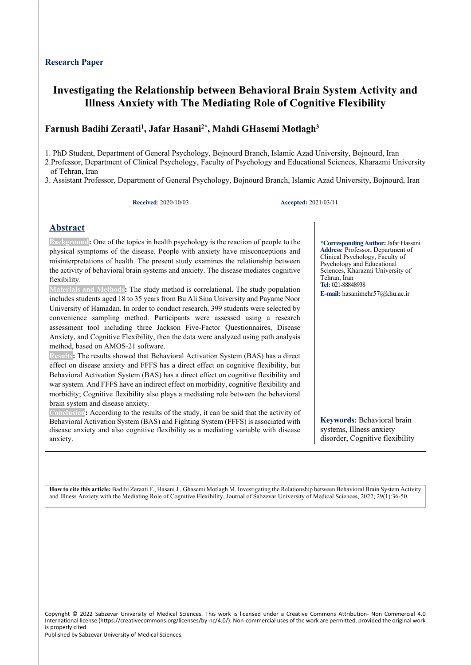## **Investigating the Relationship between Behavioral Brain System Activity and Illness Anxiety with The Mediating Role of Cognitive Flexibility**

## **Farnush Badihi Zeraati1 , Jafar Hasani2\*, Mahdi GHasemi Motlagh3**

1. PhD Student, Department of General Psychology, Bojnourd Branch, Islamic Azad University, Bojnourd, Iran

2.Professor, Department of Clinical Psychology, Faculty of Psychology and Educational Sciences, Kharazmi University of Tehran, Iran

3. Assistant Professor, Department of General Psychology, Bojnourd Branch, Islamic Azad University, Bojnourd, Iran

**Received**: 2020/10/03 **Accepted:** 2021/03/11

### **Abstract**

**Background:** One of the topics in health psychology is the reaction of people to the physical symptoms of the disease. People with anxiety have misconceptions and misinterpretations of health. The present study examines the relationship between the activity of behavioral brain systems and anxiety. The disease mediates cognitive flexibility.

**Materials and Methods:** The study method is correlational. The study population includes students aged 18 to 35 years from Bu Ali Sina University and Payame Noor University of Hamadan. In order to conduct research, 399 students were selected by convenience sampling method. Participants were assessed using a research assessment tool including three Jackson Five-Factor Questionnaires, Disease Anxiety, and Cognitive Flexibility, then the data were analyzed using path analysis method, based on AMOS-21 software.

**Results:** The results showed that Behavioral Activation System (BAS) has a direct effect on disease anxiety and FFFS has a direct effect on cognitive flexibility, but Behavioral Activation System (BAS) has a direct effect on cognitive flexibility and war system. And FFFS have an indirect effect on morbidity, cognitive flexibility and morbidity; Cognitive flexibility also plays a mediating role between the behavioral brain system and disease anxiety.

**Conclusion:** According to the results of the study, it can be said that the activity of Behavioral Activation System (BAS) and Fighting System (FFFS) is associated with disease anxiety and also cognitive flexibility as a mediating variable with disease anxiety.

**\*CorrespondingAuthor:** Jafar Hassani **Address:** Professor, Department of Clinical Psychology, Faculty of Psychology and Educational Sciences, Kharazmi University of Tehran, Iran **Tel:** 021-88848938 **E-mail:** [hasanimehr57@k](mailto:hasanimehr57@yahoo.com)hu.ac.ir

**Keywords:** Behavioral brain systems, Illness anxiety disorder, Cognitive flexibility

**How to cite this article:** Badihi Zeraati F., Hasani J., Ghasemi Motlagh M. Investigating the Relationship between Behavioral Brain System Activity and Illness Anxiety with the Mediating Role of Cognitive Flexibility, Journal of Sabzevar University of Medical Sciences, 2022; 29(1):36-50.

Copyright © 2022 Sabzevar University of Medical Sciences. This work is licensed under a Creative Commons Attribution- Non Commercial 4.0 International license (https://creativecommons.org/licenses/by-nc/4.0/). Non-commercial uses of the work are permitted, provided the original work is properly cited.

Published by Sabzevar University of Medical Sciences.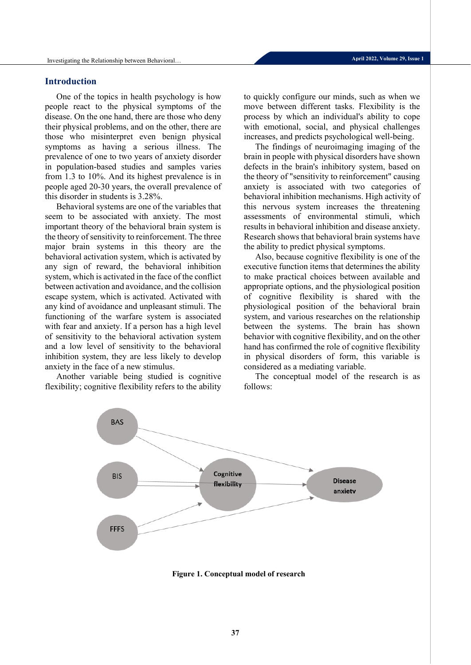### **Introduction**

One of the topics in health psychology is how people react to the physical symptoms of the disease. On the one hand, there are those who deny their physical problems, and on the other, there are those who misinterpret even benign physical symptoms as having a serious illness. The prevalence of one to two years of anxiety disorder in population-based studies and samples varies from 1.3 to 10%. And its highest prevalence is in people aged 20-30 years, the overall prevalence of this disorder in students is 3.28%.

Behavioral systems are one of the variables that seem to be associated with anxiety. The most important theory of the behavioral brain system is the theory of sensitivity to reinforcement. The three major brain systems in this theory are the behavioral activation system, which is activated by any sign of reward, the behavioral inhibition system, which is activated in the face of the conflict between activation and avoidance, and the collision escape system, which is activated. Activated with any kind of avoidance and unpleasant stimuli. The functioning of the warfare system is associated with fear and anxiety. If a person has a high level of sensitivity to the behavioral activation system and a low level of sensitivity to the behavioral inhibition system, they are less likely to develop anxiety in the face of a new stimulus.

Another variable being studied is cognitive flexibility; cognitive flexibility refers to the ability to quickly configure our minds, such as when we move between different tasks. Flexibility is the process by which an individual's ability to cope with emotional, social, and physical challenges increases, and predicts psychological well-being.

The findings of neuroimaging imaging of the brain in people with physical disorders have shown defects in the brain's inhibitory system, based on the theory of "sensitivity to reinforcement" causing anxiety is associated with two categories of behavioral inhibition mechanisms. High activity of this nervous system increases the threatening assessments of environmental stimuli, which results in behavioral inhibition and disease anxiety. Research shows that behavioral brain systems have the ability to predict physical symptoms.

Also, because cognitive flexibility is one of the executive function items that determines the ability to make practical choices between available and appropriate options, and the physiological position of cognitive flexibility is shared with the physiological position of the behavioral brain system, and various researches on the relationship between the systems. The brain has shown behavior with cognitive flexibility, and on the other hand has confirmed the role of cognitive flexibility in physical disorders of form, this variable is considered as a mediating variable.

The conceptual model of the research is as follows:



**Figure 1. Conceptual model of research**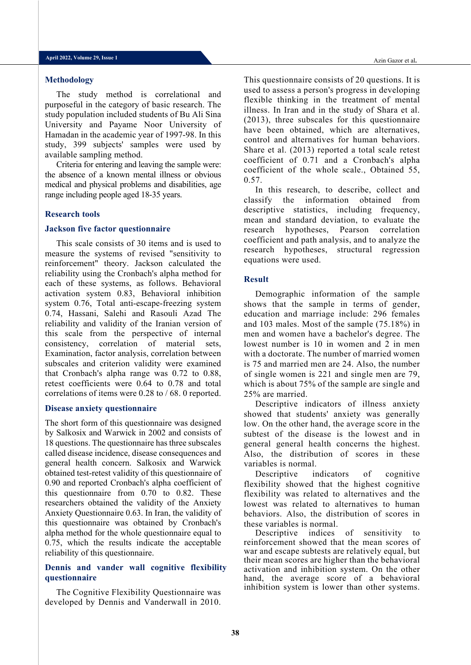#### **Methodology**

The study method is correlational and purposeful in the category of basic research. The study population included students of Bu Ali Sina University and Payame Noor University of Hamadan in the academic year of 1997-98. In this study, 399 subjects' samples were used by available sampling method.

Criteria for entering and leaving the sample were: the absence of a known mental illness or obvious medical and physical problems and disabilities, age range including people aged 18-35 years.

#### **Research tools**

### **Jackson five factor questionnaire**

This scale consists of 30 items and is used to measure the systems of revised "sensitivity to reinforcement" theory. Jackson calculated the reliability using the Cronbach's alpha method for each of these systems, as follows. Behavioral activation system 0.83, Behavioral inhibition system 0.76, Total anti-escape-freezing system 0.74, Hassani, Salehi and Rasouli Azad The reliability and validity of the Iranian version of this scale from the perspective of internal consistency, correlation of material sets, Examination, factor analysis, correlation between subscales and criterion validity were examined that Cronbach's alpha range was 0.72 to 0.88, retest coefficients were 0.64 to 0.78 and total correlations of items were 0.28 to / 68. 0 reported.

#### **Disease anxiety questionnaire**

The short form of this questionnaire was designed by Salkosix and Warwick in 2002 and consists of 18 questions. The questionnaire has three subscales called disease incidence, disease consequences and general health concern. Salkosix and Warwick obtained test-retest validity of this questionnaire of 0.90 and reported Cronbach's alpha coefficient of this questionnaire from 0.70 to 0.82. These researchers obtained the validity of the Anxiety Anxiety Questionnaire 0.63. In Iran, the validity of this questionnaire was obtained by Cronbach's alpha method for the whole questionnaire equal to 0.75, which the results indicate the acceptable reliability of this questionnaire.

### **Dennis and vander wall cognitive flexibility questionnaire**

The Cognitive Flexibility Questionnaire was developed by Dennis and Vanderwall in 2010. This questionnaire consists of 20 questions. It is used to assess a person's progress in developing flexible thinking in the treatment of mental illness. In Iran and in the study of Shara et al. (2013), three subscales for this questionnaire have been obtained, which are alternatives, control and alternatives for human behaviors. Share et al. (2013) reported a total scale retest coefficient of 0.71 and a Cronbach's alpha coefficient of the whole scale., Obtained 55, 0.57.

In this research, to describe, collect and classify the information obtained from descriptive statistics, including frequency, mean and standard deviation, to evaluate the research hypotheses, Pearson correlation coefficient and path analysis, and to analyze the research hypotheses, structural regression equations were used.

### **Result**

Demographic information of the sample shows that the sample in terms of gender, education and marriage include: 296 females and 103 males. Most of the sample (75.18%) in men and women have a bachelor's degree. The lowest number is 10 in women and 2 in men with a doctorate. The number of married women is 75 and married men are 24. Also, the number of single women is 221 and single men are 79, which is about 75% of the sample are single and 25% are married.

Descriptive indicators of illness anxiety showed that students' anxiety was generally low. On the other hand, the average score in the subtest of the disease is the lowest and in general general health concerns the highest. Also, the distribution of scores in these variables is normal.

Descriptive indicators of cognitive flexibility showed that the highest cognitive flexibility was related to alternatives and the lowest was related to alternatives to human behaviors. Also, the distribution of scores in these variables is normal.

Descriptive indices of sensitivity to reinforcement showed that the mean scores of war and escape subtests are relatively equal, but their mean scores are higher than the behavioral activation and inhibition system. On the other hand, the average score of a behavioral inhibition system is lower than other systems.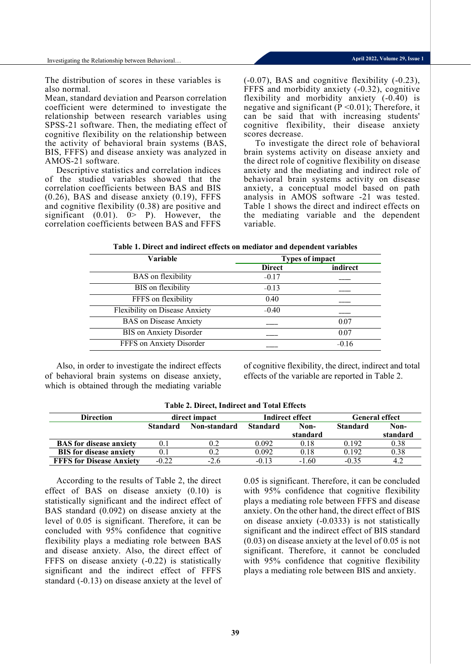Investigating the Relationship between Behavioral…

The distribution of scores in these variables is also normal.

Mean, standard deviation and Pearson correlation coefficient were determined to investigate the relationship between research variables using SPSS-21 software. Then, the mediating effect of cognitive flexibility on the relationship between the activity of behavioral brain systems (BAS, BIS, FFFS) and disease anxiety was analyzed in AMOS-21 software.

Descriptive statistics and correlation indices of the studied variables showed that the correlation coefficients between BAS and BIS (0.26), BAS and disease anxiety (0.19), FFFS and cognitive flexibility (0.38) are positive and significant  $(0.01)$ .  $0 > P$ ). However, the correlation coefficients between BAS and FFFS

(-0.07), BAS and cognitive flexibility (-0.23), FFFS and morbidity anxiety (-0.32), cognitive flexibility and morbidity anxiety (-0.40) is negative and significant ( $\dot{P}$  <0.01); Therefore, it can be said that with increasing students' cognitive flexibility, their disease anxiety scores decrease.

To investigate the direct role of behavioral brain systems activity on disease anxiety and the direct role of cognitive flexibility on disease anxiety and the mediating and indirect role of behavioral brain systems activity on disease anxiety, a conceptual model based on path analysis in AMOS software -21 was tested. Table 1 shows the direct and indirect effects on the mediating variable and the dependent variable.

| Table 1. Direct and indirect effects on mediator and dependent variables |  |  |
|--------------------------------------------------------------------------|--|--|
|--------------------------------------------------------------------------|--|--|

| <b>Variable</b>                | <b>Types of impact</b> |          |  |
|--------------------------------|------------------------|----------|--|
|                                | <b>Direct</b>          | indirect |  |
| <b>BAS</b> on flexibility      | $-0.17$                |          |  |
| BIS on flexibility             | $-0.13$                |          |  |
| FFFS on flexibility            | 0.40                   |          |  |
| Flexibility on Disease Anxiety | $-0.40$                |          |  |
| <b>BAS</b> on Disease Anxiety  |                        | 0.07     |  |
| BIS on Anxiety Disorder        |                        | 0.07     |  |
| FFFS on Anxiety Disorder       |                        | $-0.16$  |  |

Also, in order to investigate the indirect effects of behavioral brain systems on disease anxiety, which is obtained through the mediating variable of cognitive flexibility, the direct, indirect and total effects of the variable are reported in Table 2.

| Table 2. Different multitudi and Total Effects |                 |              |                 |          |                       |          |  |  |
|------------------------------------------------|-----------------|--------------|-----------------|----------|-----------------------|----------|--|--|
| <b>Direction</b>                               | direct impact   |              | Indirect effect |          | <b>General effect</b> |          |  |  |
|                                                | <b>Standard</b> | Non-standard | <b>Standard</b> | Non-     | <b>Standard</b>       | Non-     |  |  |
|                                                |                 |              |                 | standard |                       | standard |  |  |
| <b>BAS</b> for disease anxiety                 |                 | 0.2          | 0.092           | 0.18     | 0.192                 | 0.38     |  |  |
| <b>BIS</b> for disease anxiety                 |                 |              | 0.092           | 0.18     | 0.192                 | 0.38     |  |  |
| <b>FFFS</b> for Disease Anxiety                | $-0.22$         | $-2.6$       | $-0.13$         | $-1.60$  | $-0.35$               | 4.2      |  |  |

### **Table 2. Direct, Indirect and Total Effects**

According to the results of Table 2, the direct effect of BAS on disease anxiety (0.10) is statistically significant and the indirect effect of BAS standard (0.092) on disease anxiety at the level of 0.05 is significant. Therefore, it can be concluded with 95% confidence that cognitive flexibility plays a mediating role between BAS and disease anxiety. Also, the direct effect of FFFS on disease anxiety (-0.22) is statistically significant and the indirect effect of FFFS standard (-0.13) on disease anxiety at the level of 0.05 is significant. Therefore, it can be concluded with 95% confidence that cognitive flexibility plays a mediating role between FFFS and disease anxiety. On the other hand, the direct effect of BIS on disease anxiety (-0.0333) is not statistically significant and the indirect effect of BIS standard (0.03) on disease anxiety at the level of 0.05 is not significant. Therefore, it cannot be concluded with 95% confidence that cognitive flexibility plays a mediating role between BIS and anxiety.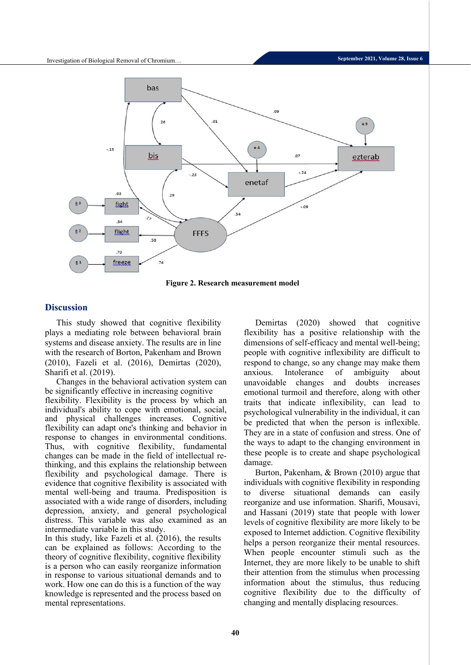

**Figure 2. Research measurement model**

## **Discussion**

This study showed that cognitive flexibility plays a mediating role between behavioral brain systems and disease anxiety. The results are in line with the research of Borton, Pakenham and Brown (2010), Fazeli et al. (2016), Demirtas (2020), Sharifi et al. (2019).

Changes in the behavioral activation system can be significantly effective in increasing cognitive flexibility. Flexibility is the process by which an individual's ability to cope with emotional, social, and physical challenges increases. Cognitive flexibility can adapt one's thinking and behavior in response to changes in environmental conditions. Thus, with cognitive flexibility, fundamental changes can be made in the field of intellectual rethinking, and this explains the relationship between flexibility and psychological damage. There is evidence that cognitive flexibility is associated with mental well-being and trauma. Predisposition is associated with a wide range of disorders, including depression, anxiety, and general psychological distress. This variable was also examined as an intermediate variable in this study.

In this study, like Fazeli et al. (2016), the results can be explained as follows: According to the theory of cognitive flexibility, cognitive flexibility is a person who can easily reorganize information in response to various situational demands and to work. How one can do this is a function of the way knowledge is represented and the process based on mental representations.

Demirtas (2020) showed that cognitive flexibility has a positive relationship with the dimensions of self-efficacy and mental well-being; people with cognitive inflexibility are difficult to respond to change, so any change may make them anxious. Intolerance of ambiguity about unavoidable changes and doubts increases emotional turmoil and therefore, along with other traits that indicate inflexibility, can lead to psychological vulnerability in the individual, it can be predicted that when the person is inflexible. They are in a state of confusion and stress. One of the ways to adapt to the changing environment in these people is to create and shape psychological damage.

Burton, Pakenham, & Brown (2010) argue that individuals with cognitive flexibility in responding to diverse situational demands can easily reorganize and use information. Sharifi, Mousavi, and Hassani (2019) state that people with lower levels of cognitive flexibility are more likely to be exposed to Internet addiction. Cognitive flexibility helps a person reorganize their mental resources. When people encounter stimuli such as the Internet, they are more likely to be unable to shift their attention from the stimulus when processing information about the stimulus, thus reducing cognitive flexibility due to the difficulty of changing and mentally displacing resources.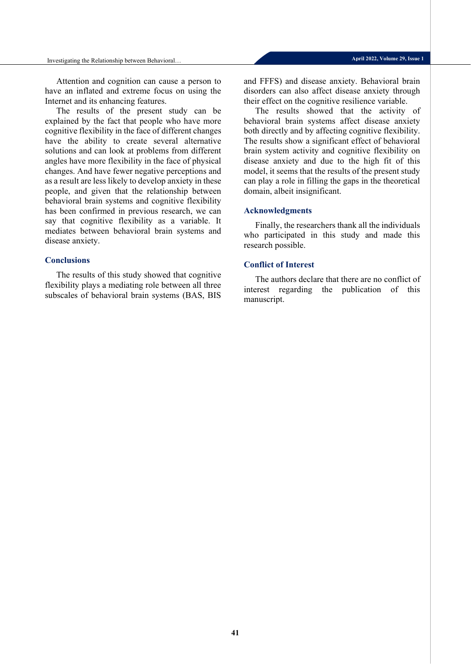Attention and cognition can cause a person to have an inflated and extreme focus on using the Internet and its enhancing features.

The results of the present study can be explained by the fact that people who have more cognitive flexibility in the face of different changes have the ability to create several alternative solutions and can look at problems from different angles have more flexibility in the face of physical changes. And have fewer negative perceptions and as a result are less likely to develop anxiety in these people, and given that the relationship between behavioral brain systems and cognitive flexibility has been confirmed in previous research, we can say that cognitive flexibility as a variable. It mediates between behavioral brain systems and disease anxiety.

### **Conclusions**

The results of this study showed that cognitive flexibility plays a mediating role between all three subscales of behavioral brain systems (BAS, BIS

and FFFS) and disease anxiety. Behavioral brain disorders can also affect disease anxiety through their effect on the cognitive resilience variable.

The results showed that the activity of behavioral brain systems affect disease anxiety both directly and by affecting cognitive flexibility. The results show a significant effect of behavioral brain system activity and cognitive flexibility on disease anxiety and due to the high fit of this model, it seems that the results of the present study can play a role in filling the gaps in the theoretical domain, albeit insignificant.

#### **Acknowledgments**

Finally, the researchers thank all the individuals who participated in this study and made this research possible.

### **Conflict of Interest**

The authors declare that there are no conflict of interest regarding the publication of this manuscript.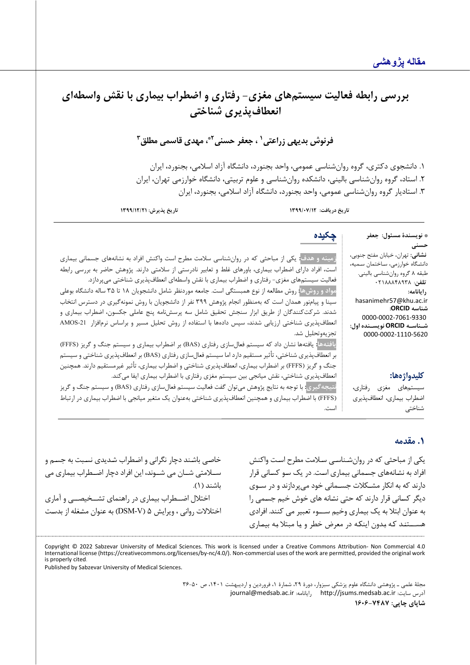# بررسي رابطه فعاليت سيستمهاي مغزي- رفتاري و اضطراب بيماري با نقش واسطهاي **انعطاف پذ یري شناخت ی**

**1 فرنوش بد یهی زراعتی 3 ، مهد ي قاسمی مطلق 2\* ، جعفر حسنی**

.1 دانشجوي دکتري، گروه روانشناسی عمومی، واحد بجنورد، دانشگاه آزاد اسلامی، بجنورد، ایران .2 استاد، گروه روانشناسی بالینی، دانشکده روانشناسی و علوم تربیتی، دانشگاه خوارزمی تهران، ایران .3 استادیار گروه روانشناسی عمومی، واحد بجنورد، دانشگاه آزاد اسلامی، بجنورد، ایران

**تاریخ دریافت: /07/12 1399 تاریخ پذیرش: 1399/12/21**

\* **نویسندة مسئول: جعفر حسنی نشانی:** تهران، خیابان مفتح جنوبی، دانشـگاه خوارزمی، سـاختمان سـمیه، طبقه 8 گروه روانشناسی بالینی. **تلفن**: 02188848938 **رایانامه:** hasanimehr57@khu.ac.ir **شناسه ORCID:** 0000-0002-7061-9330 **شـناسـه ORCID نویسـنده اول:** 0000-0002-1110-5620 **چکیده زمینه و هدف:** یکی از مباحثی که در روان شناسی سلامت مطرح است واکنش افراد به نشانه هاي جسمانی بیماري است، افراد داراي اضطراب بیماري، باورهاي غلط و تعابیر نادرستی از سلامتی دارند. پژوهش حاضر به بررسی رابطه فعالیت سیستمهای مغزی- رفتاری و اضطراب بیماری با نقش واسطهای انعطافپذیری شناختی میپردازد. **مواد و روش ها:** روش مطالعه از نوع همبستگی است. جامعه موردنظر شامل دانشجویان 18 تا 35 ساله دانشگاه بوعلی سینا و پیام نور همدان است که به منظور انجام پژوهش 399 نفر از دانشجویان با روش نمونه گیري در دسترس انتخاب شدند. شرکتکنندگان از طریق ابزار سنجش تحقیق شامل سه پرسش نامه پنج عاملی جکسون، اضطراب بیماري و انعطافپذیری شناختی ارزیابی شدند، سپس دادهها با استفاده از روش تحلیل مسیر و براساس نرمافزار AMOS-21 تجزیهوتحلیل شد. **یافتهها:** یافتهها نشان داد که سیستم فعال سازي رفتاري ( BAS (بر اضطراب بیماري و سیستم جنگ و گریز (FFFS (

**کلیدواژهها:**

سيستمهاي مغزي رفتاري، اضطراب بيماري، انعطافپذيري شناختی

انعطافپذیري شناختی، نقش میانجی بین سیستم مغزي رفتاري با اضطراب بیماري ایفا می کند. **نتیجهگیري:** با توجه به نتایج پژوهش میتوان گفت فعالیت سیستم فعال سازي رفتاري (BAS (و سیستم جنگ و گریز (FFFS (با اضطراب بیماري و همچنین انعطافپذیري شناختی بهعنوان یک متغیر میانجی با اضطراب بیماري در ارتباط است.

بر انعطافپذیري شناختی، تأثیر مستقیم دارد اما سیستم فعال سازي رفتاري (BAS (بر انعطاف پذیري شناختی و سیستم جنگ و گریز (FFFS) بر اضطراب بیماري، انعطافپذیري شناختی و اضطراب بیماري، تأثیر غیرمستقیم دارند. همچنین

## **.1 مقدمه**

یکی از مباحثی که در روان شـناسـی سـلامت مطرح اسـت واکنش افراد به نشـانه هاي جسـمانی بیماري اسـت. در یک سـو کسـانی قرار دارند که به انکار مشـکلات جسـمانی خود می پردازند و در سـوي دیگر کسـانی قرار دارند که حتی نشـانه هاي خوش خیم جسـمی را به عنوان ابتلا به یک بیماري وخیم ســـوء تعبیر می کنند . افرادي هســـتنـد کـه بـدون اینکـه در معرض خطر و یـا مبتلا بـه بیمـاري

خاصـی باشـند دچار نگرانی و اضـطراب شـدیدي نسـبت به جسـم و ســلامتی شــان می شــوند، این افراد دچار اضــطراب بیماري می باشند ( 1). اختلال اضــطراب بیماري در راهنماي تشــخیصــی و آماري اختلالات روانی ، ویرایش 5 ( V-DSM (به عنوان مشـغله از بدسـت

Copyright © 2022 Sabzevar University of Medical Sciences. This work is licensed under a Creative Commons Attribution- Non Commercial 4.0 International license (https://creativecommons.org/licenses/by-nc/4.0/). Non-commercial uses of the work are permitted, provided the original work is properly cited.

Published by Sabzevar University of Medical Sciences.

مجلۀ علمی ـ پژوهشی دانشگاه علوم پزشکی سبزوار، دورة ،29 شمارة ،1 فروردین و اردیبهشت ،1401 ص 36-50 [journal@medsab.ac.ir](mailto:journal@medsab.ac.ir) :رایانامه [http://jsums.medsab.ac.ir](http://jsums.medsab.ac.ir/) :سایت آدرس **شاپاي چاپی: 1606-7487**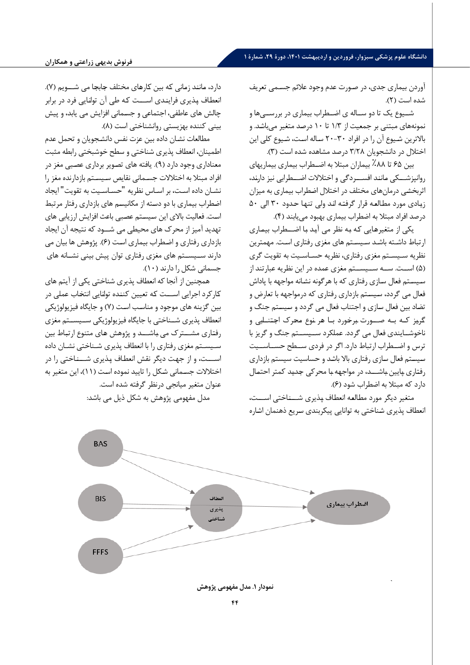## **دانشگاه علوم پزشکی سبزوار، فروردین و اردیبهشت ،1401 دورة ،29 شمارة 1**

آوردن بیماري جدي، در صـورت عدم وجود علائم جسـمی تعریف شده است ( 2).

شــیوع یک تا دو ســاله ي اضــطراب بیماري در بررســی ها و نمونه هاي مبتنی بر جمعیت از /3 1 تا 10 درصـد متغیر می باشـد. و بالاترین شـیوع آن را در افراد -30 20 سـاله اسـت، شـیوع کلی این اختلال در دانشجویان /28 3 درصد مشاهده شده است ( 3) .

بین 65 تا ٪88 بیماران مبتلا به اضــطراب بیماري بیماریهاي روانپزشـــکی مـاننـد افســـردگی و اختلالات اضـــطرابی نیز دارنـد ، اثربخشـی درمان هاي مختلف در اختلال اضـطراب بیماري به میزان زیـادي مورد مطـالعـه قرار گرفتـه انـد ولی تنهـا حـدود 30 الی 50 درصد افراد مبتلا به اضطراب بیماري بهبود می یابند ( 4).

یکی از متغیرهـایی کـه بـه نظر می آیـد بـا اضـــطراب بیمـاري ارتباط داشـته باشـد سـیسـتم هاي مغزي رفتاري اسـت. مهمترین نظریه سـیسـتم مغزي رفتاري، نظریه حسـاسـیت به تقویت گري ( 5) اســت . ســه ســیســتم مغزي عمده در این نظریه عبارتند از سـیسـتم فعال سـازي رفتاري که با هرگونه نشـانه مواجهه با پاداش فعال می گردد، سـیسـتم بازداري رفتاري که درمواجهه با تعارض و تضـاد بین فعال سـازي و اجتناب فعال می گردد و سـیسـتم جنگ و گـریـز کـه بـه صـــورت بـرخـورد بـا هـر نـوع مـحـرك اجـتـنـابـی و ناخوشــایندي فعال می گردد. عملکرد ســیســتم جنگ و گریز با ترس و اضــطراب ارتباط دارد . اگر در فردي ســطح حســاســیت سـیسـتم فعال سـازي رفتاري بالا باشـد و حساسیت سیستم بازداري رفتاري پايين باشـــد، در مواجهه با محرکي جديد کمتر احتمال دارد که مبتلا به اضطراب شود ( 6) .

متغیر دیگر مورد مطـالعـه انعطـاف پـذیري شـــنـاختی اســـت ، انعطاف پذیري شـناختی به توانایی پیکربندي سـریع ذهنمان اشـاره

دارد، مـاننـد زمـانی کـه بین کـارهـاي مختلف جـابجـا می شـــویم ( 7) . انعطـاف پـذیري فراینـدي اســـت کـه طی آن توانـایی فرد در برابر چالش هاي عاطفی، اجتماعی و جسـمانی افزایش می یابد ، و پیش بینی کننده بهزیستی روانشناختی است ( 8) .

مطالعات نشـان داده بین عزت نفس دانشـجویان و تحمل عدم اطمینان، انعطاف پذیري شناختی و سطح خوشبختی رابطه مثبت معناداري وجود دارد ( 9) . یافته هاي تصـویر برداري عصـبی مغز در افراد مبتلا به اختلالات جسـمانی نقایص سـیسـتم بازدارنده مغز را نشـان داده اسـت، بر اسـاس نظریه "حسـاسـیت به تقویت" ایجاد اضـطراب بیماري با دو دسـته از مکانیسـم هاي بازداري رفتار مرتبط اسـت. فعالیت بالاي این سـیسـتم عصـبی باعث افزایش ارزیابی هاي تهدید آمیز از محرك هاي محیطی می شــود که نتیجه آن ایجاد بازداري رفتاري و اضـطراب بیماري اسـت ( 6) . پژوهش ها بیان می دارند ســیســتم هاي مغزي رفتاري توان پیش بینی نشــانه هاي جسمانی شکل را دارند (١٠).

همچنین از آنجا که انعطاف پذیري شناختی یکی ا ز آیتم هاي کـارکرد اجرایی اســـت کـه تعیین کننـده توانـایی انتخـاب عملی در بین گزینه هاي موجود و مناسـب اسـت ( 7) و جایگاه فیزیولوژیکی انعطاف پذیري شــناختی با جایگاه فیزیولوژیکی ســیســتم مغزي رفتـاري مشـــترك می بـاشـــد و پژوهش هـاي متنوع ارتبـاط بین سـیسـتم مغزی رفتاری را با انعطاف پذیری شـناختی نشـان داده اســـت، و از جهـت دیگر نقش انعطـاف پـذیري شـــنـاختی را در اختلالات جسـمانی شـکل را تایید نموده اسـت ( 11) ، این متغیر به عنوان متغیر میانجی درنظر گرفته شده است. مدل مفهومی پژوهش به شکل ذیل می باشد:

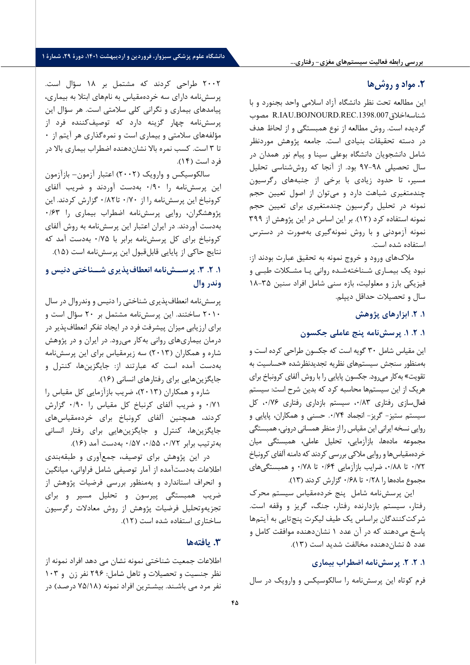## **.2 مواد و روشها**

ا ین مطالعه تحت نظر دانشگاه آزاد اسلامی واحد بجنورد و با مصوب R.IAU.BOJNOURD.REC.1398.007 اخلاق شناسه گردیده است. روش مطالعه از نوع همبستگی و از لحاظ هدف در دسته تحقیقات بنیادی است. جامعه پژوهش موردنظر شامل دانشجویان دانشگاه بوعلی سینا و پیام نور همدان در سال تحصیلی ۹۸-۹۷ بود. از آنجا که روششناسی تحلیل مسیر، تا حدود زیادی با برخی از جنبههای رگرسیون چندمتغیری شباهت دارد و می توان از اصول تعیین حجم نمونه در تحلیل رگرسیون چندمتغیری برای تعیین حجم نمونه استفاده کرد (۱۲). بر این اساس در این پژوهش از ۳۹۹ نمونه آزمودنی و با روش نمونهگیری بهصورت در دسترس استفاده شده است.

ملاک های ورود و خروج نمونه به تحقیق عبارت بودند از: نبود یک بیمـاري شـناخته شـده روانی یـا مشـکلات طبـی و فیزیکی بارز و معلولیت، بازه سنی شامل افراد سنین ۳۵-۱۸ سال و تحص یلات حداقل د یپلم .

### **.1 .2 ابزارها ي پژوهش**

## **.1 .2 .1 پرسش نامه پنج عامل ی جکسون**

این مقیاس شامل ۳۰ گویه است که جکسون طراحی کرده است و به منظور سنجش سیستمهای نظریه تجدیدنظرشده «حساسیت به تقویت» به کار می رود. جکسون پایایی را با روش آلفای کرونباخ برای هریک از این سیستمها محاسبه کرد که بدین شرح است: سیستم فعال سازي رفتاري ٠/٨٣، سيستم بازداري رفتاري ٠/٧۶، كل سیستم ستیز- گریز- انجماد ۰/۷۴. حسنی و همکاران، پایایی و روایی نسخه ایرانی این مقیاس را از منظر همسانی درونی، همبستگی مجموعه مادهها، بازآزمایی، تحلیل عاملی، همبستگی میان خردهمقياس ها و روايي ملاكي بررسي كردند كه دامنه آلفاي كرونباخ /72 0 تا /88 ،0 ضرا یب بازآزما یی /64 0 تا /78 0 و همبستگ ی هاي مجموع ماده ها را /28 0 تا /68 0 گزارش کردند ( 13).

این پرسش نامه شامل پنج خرده مقیاس سیستم محرک رفتار، س یستم بازدارنده رفتار، جنگ، گر یز و وقفه است. شرکت کنندگان براساس یک طیف لیکرت پنجتایی به آیتمها پاسخ می دهند که در آن عدد ۱ نشان دهنده موافقت کامل و عدد ۵ نشان دهنده مخالفت شدید است (۱۳).

**.1 .2 .2 پرسش نامه اضطراب ب یماري** 

فرم کوتاه این پرسش نامه را سالکوسیکس و وارویک در سال

2002 طراح ی کردند که مشتمل بر 18 سؤال است. پرسش نامه داراي سه خردهمقياس به نامهاي ابتلا به بيماري، پیامدهای بیماری و نگرانی کلی سلامتی است. هر سؤال این پرسش نامه چهار گز ینه دارد که توص یف کننده فرد از مؤلفههاي سلامتي و بيماري است و نمره گذاري هر آيتم از ۰ تا ۳ است. کسب نمره بالا نشان دهنده اضطراب بیماری بالا در فرد است ( 14).

سالکوسیکس و وارو یک ( 2002) اعتبار آزمون – بازآزمون این پرسش نامه را /90 0 به دست آوردند و ضر یب آلفا ي کرونباخ این پرسش نامه را از ۰/۸۲ تا ۰/۸۲ گزارش کردند. این پژوهشگران، روايي پرسش نامه اضطراب بيماري را ۰/۶۳ به دست آوردند. در ا یران اعتبار ا ین پرسش نامه به روش آلفاي کرونباخ برای کل پرسش نامه برابر با ۰/۷۵ به دست آمد که نتایج حاکی از پایایی قابل قبول این پرسش نامه است (۱۵).

## **1. ۲. ۳. پرســش نامه انعطاف پذیری شــناختی دنیس و وندر وال**

پرسش نامه انعطاف پذیری شناختی را دنیس و وندروال در سال 2010 ساختند. ا ین پرسش نامه مشتمل بر 20 سؤال است و برای ارزیابی میزان پیشرفت فرد در ایجاد تفکر انعطاف پذیر در درمان بیماری های روانی به کار می رود. در ایران و در پژوهش شاره و همکاران ( 2013) سه ز یرمقیاس براي ا ین پرسش نامه به دست آمده است که عبارتند از: جا یگزین ها، کنترل و جایگزین هایی برای رفتارهای انسانی (۱۶).

شاره و همکاران ( 2013)، ضر یب بازآزما یی کل مق یاس را /71 0 و ضر یب آلفا ي کرنباخ کل مق یاس را /90 0 گزارش کردند، همچنین آلفای کرونباخ برای خردهمقیاسهای جایگزین ها، کنترل و جایگزین هایی برای رفتار انسانی به ترتیب برابر ۰/۵۲،۰/۵۲، ۰/۵۷ به دست آمد (۱۶).

در این پژوهش برای توصیف، جمعآوری و طبقهبندی اطلاعات به دستآمده از آمار توصیفی شامل فراوانی، میانگین و انحراف استاندارد و به منظور بررس ی فرض یات پژوهش از ضریب همبستگی پیرسون و تحلیل مسیر و برای تجزیهوتحلیل فرضیات پژوهش از روش معادلات رگرسیون ساختار ي استفاده شده است ( 12).

## **.3 یافته ها**

اطلاعات جمعیت شـناختی نمونه نشـان می دهد افراد نمونه از نظر جنسیت و تحصیلات و تاهل شامل: ۲۹۶ نفر زن و ۱۰۳ نفر مرد می باشـند. بیشـترین افراد نمونه ( /18 75 درصـد) در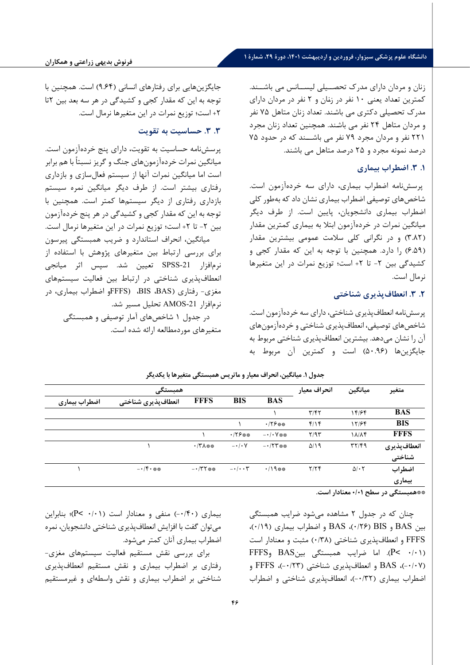## **دانشگاه علوم پزشکی سبزوار، فروردین و اردیبهشت ،1401 دورة ،29 شمارة 1**

زنان و مردان داراي مدرك تحصــیلی لیســانس می باشــند. کمترین تعـداد یعنی 10 نفر در زنـان و 2 نفر در مردان داراي مدرك تحصـیلی دکتري می باشـند. تعداد زنان متاهل 75 نفر و مردان متاهل ۲۴ نفر می باشند. همچنین تعداد زنان مجرد 221 نفر و مردان مجرد 79 نفر می باشــند که در حدود 75 درصد نمونه مجرد و 25 درصد متاهل می باشند .

## **.1 .3 اضطراب ب یماري**

پرسش نامه اضطراب بيماري، داراي سه خردهآزمون است. شاخص های توصیفی اضطراب بیماری نشان داد که بهطور کلی اضطراب بیماری دانشجویان، پایین است. از طرف دیگر میانگین نمرات در خردهآزمون ابتلا به بیماری کمترین مقدار (۳.۸۲) و در نگرانی کلی سلامت عمومی بیشترین مقدار (۶.۵۹) را دارد. همچنین با توجه به این که مقدار کجی و کشیدگی بین ۲- تا ۲+ است؛ توزیع نمرات در این متغیرها نرمال است.

## **.2 .3 انعطاف پذ یري شناخت ی**

پرسش نامه انعطافپذیري شناخت ی، داراي سه خردهآزمون است. شاخصهاي توص یفی، انعطاف پذیري شناختی و خردهآزمونهاي آن را نشان میدهد. بیشترین انعطاف پذیری شناختی مربوط به جایگزینها (50.96) است و کمترین آن مربوط به

| جایگزینهایی برای رفتارهای انسانی (۹.۶۴) است. همچنین با |
|--------------------------------------------------------|
| توجه به این که مقدار کجی و کشیدگی در هر سه بعد بین ۲تا |
| ٢+ است؛ توزيع نمرات در اين متغيرها نرمال است.          |

### **.3 .3 حساس یت به تقو یت**

پرسشنامه حساسیت به تقویت، دارای پنج خردهآزمون است. میانگین نمرات خردهآزمون های جنگ و گریز نسبتاً با هم برابر است اما میانگین نمرات آنها از سیستم فعال سازی و بازداری رفتاری بیشتر است. از طرف دیگر میانگین نمره سیستم بازداری رفتاری از دیگر سیستمها کمتر است. همچنین با توجه به این که مقدار کجی و کشیدگی در هر پنج خردهآزمون بین ۲- تا ۲+ است؛ توزیع نمرات در این متغیرها نرمال است.

میانگین، انحراف استاندارد و ضریب همبستگی پیرسون برای بررسی ارتباط بين متغيرهای پژوهش با استفاده از نرمافزار SPSS-21 تعیین شد. سپس اثر میانجی انعطاف پذيري شناختی در ارتباط بين فعاليت سيستمهای مغزی- رفتاری (BIS ،BAS، FFFSو اضطراب بیماری، در نرم افزار -21AMOS تحل یل مس یر شد **.** 

در جدول ۱ شاخصهای آمار توصیفی و همبستگی متغ یرهاي موردمطالعه ارائه شده است **.** 

|               | انحراف معيار                                   | ميانگين                | متغير                           |                        |                    |                                               |              |
|---------------|------------------------------------------------|------------------------|---------------------------------|------------------------|--------------------|-----------------------------------------------|--------------|
| اضطراب بيماري | انعطاف پذیری شناختی                            | <b>FFFS</b>            | <b>BIS</b>                      | <b>BAS</b>             |                    |                                               |              |
|               |                                                |                        |                                 |                        | T/fT               | 14/۶۴                                         | <b>BAS</b>   |
|               |                                                |                        |                                 | ・/۲۶※※                 | f/Y                | 17/۶۴                                         | <b>BIS</b>   |
|               |                                                |                        | $.75***$                        | $- \cdot / \cdot V$ ** | Y/9Y               | 18/14                                         | <b>FFFS</b>  |
|               |                                                | $\cdot$ /۳ $\wedge$ ** | $- \cdot / \cdot V$             | $-175$ **              | $\Delta/\lambda$ 9 | $\mathbf{r} \mathbf{r}/\mathbf{r} \mathbf{q}$ | انعطاف پذيري |
|               |                                                |                        |                                 |                        |                    |                                               | شناختی       |
|               | $- \cdot$ / $\mathfrak{f} \cdot \mathfrak{ss}$ | $ \cdot$ /۳۲ **        | $-\cdot/\cdot \cdot \mathsf{Y}$ | $\cdot/19$ **          | Y/YF               | $\Delta/\cdot 7$                              | اضطراب       |
|               |                                                |                        |                                 |                        |                    |                                               | بيماري       |
|               |                                                |                        |                                 |                        |                    | .                                             | $\sim$       |

**جدول .1 م یانگین، انحراف مع یار و ماتر یس همبستگ ی متغ یرها با یکدیگر** 

**\*\*همبستگی در سطح /01 0 معنادار است.** 

چنان که در جدول 2 مشاهده می شود ضرایب همبستگی بین BAS و BIS ) /26 0(، BAS و اضطراب بیماري ( /19 0)، FFFS و انعطاف پذیري شناختی ( /38 0) مثبت و معنادار است  $\text{FFS}_9$  BAS اما ضرایب همبستگی بین BAS و FFFS ( /07 -0 )، BAS و انعطاف پذیري شناختی ( /23 -0 )، FFFS و اضطراب بیماري ( /32 -0 )، انعطاف پذیري شناختی و اضطراب

بیماري ( /40 -0 ) منفی و معنادار است ( /01 0 >P(؛ بنابراین می توان گفت با افزایش انعطاف پذیري شناختی دانشجویان، نمره اضطراب بیماري آنان کمتر می شود.

براي بررسی نقش مستقیم فعالیت سیستم هاي مغزي - رفتاري بر اضطراب بیماري و نقش مستقیم انعطافپذیري شناختی بر اضطراب بیماری و نقش واسطهای و غیرمستقیم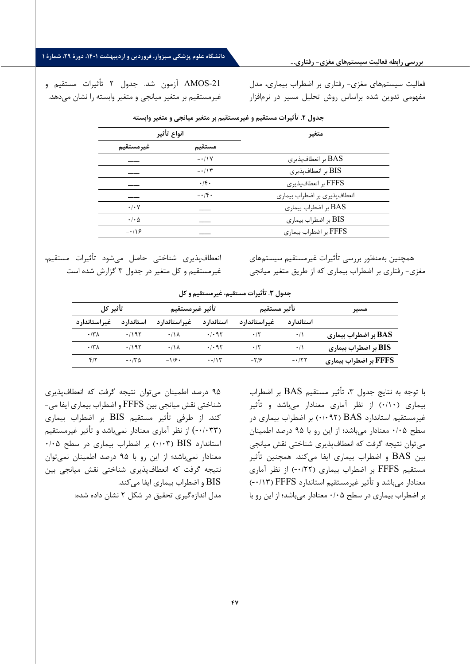-21AMOS آزمون شد. جدول 2 تأثیرات مستقیم و غیرمستقیم بر متغیر میانجی و متغیر وابسته را نشان می دهد.

فعالیت سیستم هاي مغزي - رفتاري بر اضطراب بیماري ، مدل مفهومی تدوین شده براساس روش تحلیل مسیر در نرمافزار

| <u>.</u><br>--             |                                |                              |  |  |  |
|----------------------------|--------------------------------|------------------------------|--|--|--|
| انواع تأثير                |                                | متغير                        |  |  |  |
| غير مستقيم                 | مستقيم                         |                              |  |  |  |
|                            | $-1$                           | BAS بر انعطاف پذیری          |  |  |  |
|                            | $-115$                         | BIS بر انعطاف پذیری          |  |  |  |
|                            | .1                             | FFFS بر انعطافپذیری          |  |  |  |
|                            | $- \cdot / \mathfrak{f} \cdot$ | انعطافپذیری بر اضطراب بیماری |  |  |  |
| $\cdot/\cdot$ Y            |                                | BAS بر اضطراب بيماري         |  |  |  |
| $\cdot$ / $\cdot$ $\Delta$ |                                | BIS بر اضطراب بيماري         |  |  |  |
| $-18$                      |                                | FFFS بر اضطراب بيماري        |  |  |  |
|                            |                                |                              |  |  |  |

**جدول .2 تأثیرات مستقیم و غیرمستقیم بر متغ یر میانجی و متغ یر وابسته**

همچنین به منظور بررسی تأثیرات غیرمستقیم سیستم هاي مغزي - رفتاري بر اضطراب بیماري که از طریق متغیر میانجی

انعطاف پذیري شناختی حاصل میشود تأثیرات مستقیم، غیرمستقیم و کل متغیر در جدول 3 گزارش شده است

**جدول .3 تأث یرات مستق یم، غ یرمستقیم و کل** 

| مسير                         | تأثير مستقيم |                | تأثير غيرمستقيم   |                      | ُ تأثير كل |                      |
|------------------------------|--------------|----------------|-------------------|----------------------|------------|----------------------|
|                              | استاندار د   | غیراستاندارد   | استاندار د        | غيراستاندارد         | استاندار د | غيراستاندارد         |
| BAS بر اضطراب بیماری         | $\cdot/$     | $\cdot$ /٢     | .1.95             | $\cdot$ /\ $\lambda$ | .1195      | $\cdot$ /۳ $\Lambda$ |
| BIS بر اضطراب بیماری         | $\cdot/$     | $\cdot$ /٢     | .497              | $\cdot$ /\ $\lambda$ | .1195      | $\cdot$ /٣ $\wedge$  |
| <b>FFFS بر اضطراب بیماری</b> | $-177$       | $-\frac{1}{2}$ | $\cdot$ -/ $\vee$ | $-1/9$               | $-150$     | $f/\tau$             |

با توجه به نتایج جدول ،3 تأثیر مستقیم BAS بر اضطراب بیماري (0/10) از نظر آماري معنادار میباشد و تأثیر غیرمستقیم استاندارد BAS) 0/092 (بر اضطراب بیماري در سطح 0/05 معنادار میباشد؛ از این رو با 95 درصد اطمینان می توان نتیجه گرفت که انعطاف پذیري شناختی نقش میانجی بین BAS و اضطراب بیماري ایفا می کند. همچنین تأثیر مستقیم FFFS بر اضطراب بیماري (-0/22) از نظر آماري معنادار می باشد و تأثیر غیرمستقیم استاندارد FFFS) -0/13 ( بر اضطراب بیماری در سطح ۰/۰۵ معنادار میباشد؛ از این رو با

95 درصد اطمینان می توان نتیجه گرفت که انعطافپذیري شناختی نقش میانجی بین FFFS و اضطراب بیماري ایفا می- کند. از طرفی تأثیر مستقیم BIS بر اضطراب بیماري (-0/033) از نظر آماري معنادار نمیباشد و تأثیر غیرمستقیم  $\cdot$ ۰/۰۵ (۰/۰۳) بر اضطراب بیماری در سطح ۰/۰۵ معنادار نمیباشد؛ از این رو با 95 درصد اطمینان نمی توان نتیجه گرفت که انعطافپذیري شناختی نقش میانجی بین BIS و اضطراب بیماري ایفا می کند. مدل اندازه گیري تحقیق در شکل 2 نشان داده شده: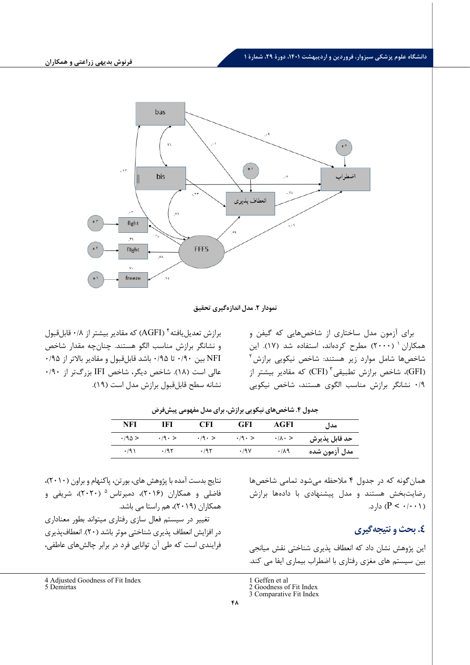

### نمودار **۲.** مدل اندازهگیری تحقیق

براي آزمون مدل ساختاري از شاخصهایی که گیفن و همکاران ( ۲۰۰۰) مطرح کردهاند، استفاده شد (۱۷). این شاخصها شامل موارد زیر هستند: شاخص نیکویی برازش<sup>۲</sup> (GFI) شاخص برازش تطبیقی<sup>۳</sup> (CFI) که مقادیر بیشتر از $(FI)$ 0/9 نشانگر برازش مناسب الگوي هستند، شاخص نیکویی

برازش تعدیل بافته $\rm (AGFI)$  که مقادیر بیشتر از ۰/۸ قابل قبول و نشانگر برازش مناسب الگو هستند. چنان چه مقدار شاخص NFI بین 0/90 تا 0/95 باشد قابلقبول و مقادیر بالاتر از 0/95 عالی است (18). شاخص دیگر، شاخص IFI بزرگتر از 0/90 نشانه سطح قابل قبول برازش مدل است (19).

| NFI                      | IFI                    | <b>CFI</b>             | <b>GFI</b>             | AGFI                    | مدا ,         |  |  |
|--------------------------|------------------------|------------------------|------------------------|-------------------------|---------------|--|--|
| $\cdot$ /9 $\triangle$ > | $\cdot$ /9 $\cdot$ $>$ | $\cdot$ /9 $\cdot$ $>$ | $\cdot$ /9 $\cdot$ $>$ | $\cdot/\lambda \cdot >$ | حد قابل پذيرش |  |  |
| .791                     | .795                   | .795                   | .79V                   | .719                    | مدل آزمون شده |  |  |

جدول ۴. شاخص های نیکویی برازش، برای مدل مفهومی پیش فرض

همان گونه که در جدول 4 ملاحظه می شود تمامی شاخص ها رضایت بخش هستند و مدل پیشنهادی با دادهها برازش (  $(P < \cdot / \cdot \cdot)$ ) دارد.

## **.4 بحث و نتیجه گیري**

این پژوهش نشان داد که انعطاف پذیري شناختی نقش میانجی بین سیستم هاي مغزي رفتاري با اضطراب بیماري ایفا می کند.

در افزایش انعطاف پذیري شناختی موثر باشد ( 20). انعطاف پذیري فرایندي است که طی آن توانایی فرد در برابر چالش هاي عاطفی،

نتایج بدست آمده با پژوهش هاي، بورتن، پاکنهام و براون ( 2010)،

فاضلی و همکاران (۲۰۱۶)، دمیرتاس <sup>۵</sup> (۲۰۲۰)، شریفی و همکاران ( 2019)، هم راستا می باشد. تغییر در سیستم فعال سازي رفتاري میتواند بطور معناداري

<span id="page-11-0"></span><sup>4</sup> Adjusted Goodness of Fit Index

<span id="page-11-2"></span><span id="page-11-1"></span><sup>5</sup> Demirtas

<sup>1</sup> Geffen et al 2 Goodness of Fit Index

<sup>3</sup> Comparative Fit Index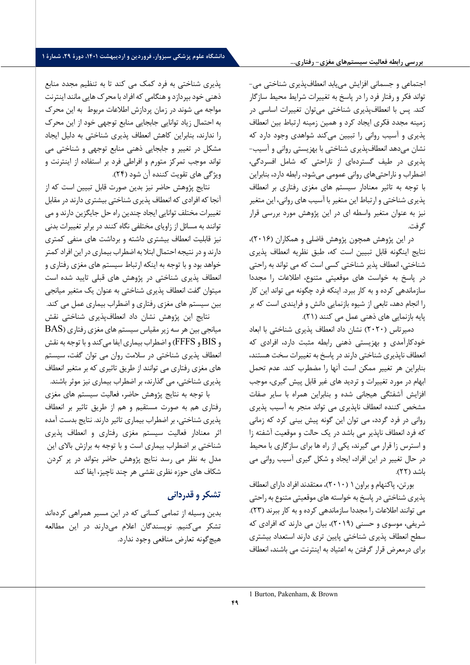### **بررسی رابطه فعالیت سیستمهاي مغزي- رفتاري...**

اجتماعی و جسمانی افزایش می یابد انعطاف پذیري شناختی می - تواند فکر و رفتار فرد را در پاسخ به تغییرات شرایط محیط سازگار کند. پس با انعطاف پذیري شناختی می توان تغییرات اساسی در زمینه مجدد فکري ایجاد کرد و همین زمینه ارتباط بین انعطاف پذیري و آسیب روانی را تبیین می کند ش واهدي وجود دارد که نشان می دهد انعطاف پذیري شناختی با بهزیستی روانی و آسیب - پذیري در طیف گسترده اي از ناراحتی که شامل افسردگی، اضطراب و ناراحتی هاي روانی عمومی می شود، رابطه دارد، بنابراین با توجه به تاثیر معنادار سیستم هاي مغزي رفتاري بر انعطاف پذیری شناختی و ارتباط این متغیر با آسیب های روانی، این متغیر نیز به عنوان متغیر واسطه اي در این پژوهش مورد بررسی قرار گرفت.

در این پژوهش همچون پژوهش فاضلی و همکاران ( 2016)، نتایج اینگونه قابل تبیین است که، طبق نظریه انعطاف پذیري شناختی، انعطاف پذیر شناختی کسی است که می تواند به راحتی در پاسخ به خواست هاي موقعیتی متنوع، اطلاعات را مجددا سازماندهی کرده و به کار ببرد. اینکه فرد چگونه می تواند این کار را انجام دهد، تابعی از شیوه بازنمایی دانش و فرایندي است که بر پایه بازنمایی هاي ذهنی عمل می کنند ( 21) .

دمیرتاس (۲۰۲۰) نشان داد انعطاف پذیری شناختی با ابعاد خودکارآمدي و بهزیستی ذهنی رابطه مثبت دارد ، افرادي که انعطاف ناپذیري شناختی دارند در پاسخ به تغییرات سخت هستند، بنابراین هر تغییر ممکن است آنها را مضطرب کند. عدم تحمل ابهام در مورد تغییرات و تردید هاي غیر قابل پیش گیري، مو جب افزایش آشفتگی هیجانی شده و بنابراین همراه با سایر صفات مشخص کننده انعطاف ناپذیري می تواند منجر به آسیب پذیري روانی در فرد گردد، می توان این گونه پیش بینی کرد که زمانی که فرد انعطاف ناپذیر می باشد در یک حالت و موقعیت آشفته زا و استرس زا قرار می گیرند، یکی از راه ها برای سازگاری با محیط در حال تغییر در این افراد، ایجاد و شکل گیري آسیب روانی می باشد ( 22).

بورتن، پاکنهام و براون [1](#page-12-0) ( 2010)، معتقدند افراد داراي انعطاف پذیري شناختی در پاسخ به خواسته هاي موقعیتی متنوع به راحتی می توانند اطلاعات را مجددا سازماندهی کرده و به کار ببرند ( 23). شریفی، موسوي و حسنی ( 2019)، بیان می دارند که افرادي که سطح انعطاف پذیري شناختی پایین تري دارند استعداد بیشتري براي درمعرض قرار گرفتن به اعتیاد به اینترنت می باشند، انعطاف

پذیري شناختی به فرد کمک می کند تا به تنظیم مجدد منابع ذهنی خود بپردازد و هنگامی که افراد با محرك هایی مانند اینترنت مواجه می شوند در زمان پردازش اطلاعات مربوط به این محرك به احتمال زیاد توانایی جابجایی منابع توجهی خود از این محرك را ندارند، بنابراین کاهش انعطاف پذیري شناختی به دلیل ایجاد مشکل در تغییر و جابجایی ذهنی منابع توجهی و شناختی می تواند موجب تمرکز متورم و افراطی فرد بر استفاده از اینترنت و ویژگی هاي تقویت کننده آن شود ( 24).

نتایج پژوهش حاضر نیز بدین صورت قابل تبیین است که از آنجا که افرادي که انعطاف پذیري شناختی بیشتري دارند در مقابل تغییرات مختلف توانا یی ایجاد چندین راه حل جایگزین دارند و می توانند به مسائل از زاویاي مختلفی نگاه کنند در برابر تغییرات بدنی نیز قابلیت انعطاف بیشتري داشته و برداشت هاي منفی کمتري دارند و در نتیجه احتمال ابتلا به اضطراب بیماري در این افراد کمتر خواهد بود و با توجه به اینکه ا رتباط سیستم هاي مغزي رفتاري و انعطاف پذیري شناختی در پژوهش هاي قبلی تایید شده است میتوان گفت انعطاف پذیري شناختی به عنوان یک متغیر میانجی بین سیستم هاي مغزي رفتاري و اضطراب بیماري عمل می کند. نتایج این پژوهش نشان داد انعطاف پذیري شناختی نقش

 $\operatorname{BAS}$  میانجی بین هر سه زیر مقیاس سیستم های مغزی رفتاری و BIS و FFFS (و اضطراب بیماري ایفا می کند و با توجه به نقش انعطاف پذیري شناختی در سلامت روان می توان گفت، سیستم هاي مغزي رفتاري می توانند از طریق تاثیري که بر متغیر انعطاف پذیري شناختی، می گذارند، بر اضطراب بیماري نیز موثر باشند.

با توجه به نتایج پژوهش حاضر، فعالیت سیستم هاي مغزي رفتاري هم به صورت مستقیم و هم از طریق تاثیر بر انعطاف پذیري شناختی، بر اضطراب بیماري تاثیر دارند. نتایج بدست آمده اثر معنادار فعالیت سیستم مغزي رفتاري و انعطاف پذیري شناختی بر اضطراب بیماري است و با توجه به برازش بالاي این مدل به نظر می رسد نتایج پژوهش حاضر بتواند در پر کردن شکاف هاي حوزه نظري نقشی هر چند ناچیز، ایفا کند

## **تشکر و قدردانی**

<span id="page-12-0"></span>بدین وسیله از تمامی کسانی که در این مسیر همراهی کرده اند تشکر میکنیم. نویسندگان اعلام می دارند در این مطالعه هیچگونه تعارض منافعی وجود ندارد.